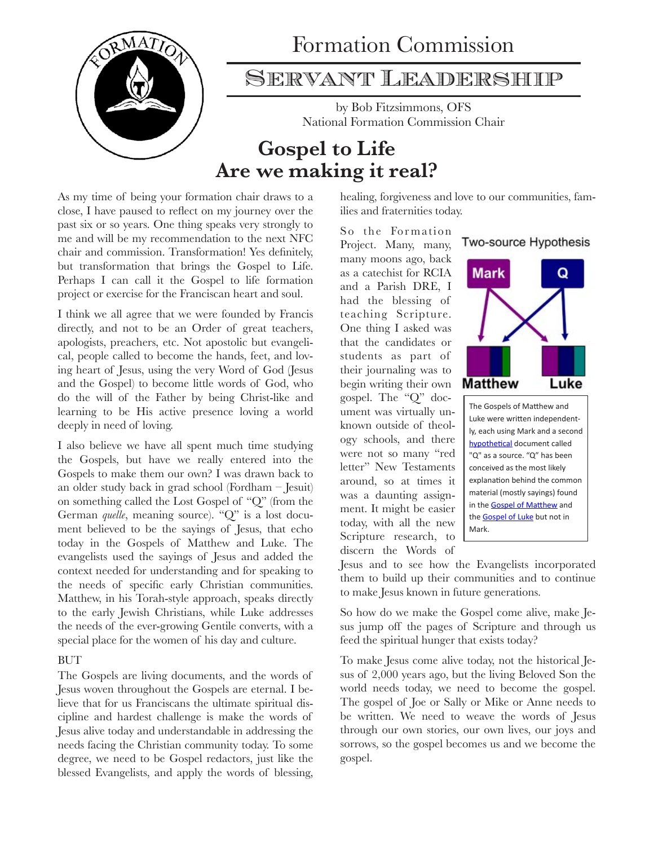

# Formation Commission

### Servant Leadership

by Bob Fitzsimmons, OFS National Formation Commission Chair

## **Gospel to Life Are we making it real?**

As my time of being your formation chair draws to a close, I have paused to reflect on my journey over the past six or so years. One thing speaks very strongly to me and will be my recommendation to the next NFC chair and commission. Transformation! Yes definitely, but transformation that brings the Gospel to Life. Perhaps I can call it the Gospel to life formation project or exercise for the Franciscan heart and soul.

I think we all agree that we were founded by Francis directly, and not to be an Order of great teachers, apologists, preachers, etc. Not apostolic but evangelical, people called to become the hands, feet, and loving heart of Jesus, using the very Word of God (Jesus and the Gospel) to become little words of God, who do the will of the Father by being Christ-like and learning to be His active presence loving a world deeply in need of loving.

I also believe we have all spent much time studying the Gospels, but have we really entered into the Gospels to make them our own? I was drawn back to an older study back in grad school (Fordham – Jesuit) on something called the Lost Gospel of "Q" (from the German *quelle*, meaning source). "Q" is a lost document believed to be the sayings of Jesus, that echo today in the Gospels of Matthew and Luke. The evangelists used the sayings of Jesus and added the context needed for understanding and for speaking to the needs of specific early Christian communities. Matthew, in his Torah-style approach, speaks directly to the early Jewish Christians, while Luke addresses the needs of the ever-growing Gentile converts, with a special place for the women of his day and culture.

#### **BUT**

The Gospels are living documents, and the words of Jesus woven throughout the Gospels are eternal. I believe that for us Franciscans the ultimate spiritual discipline and hardest challenge is make the words of Jesus alive today and understandable in addressing the needs facing the Christian community today. To some degree, we need to be Gospel redactors, just like the blessed Evangelists, and apply the words of blessing, healing, forgiveness and love to our communities, families and fraternities today.

So the Formation Project. Many, many, many moons ago, back as a catechist for RCIA and a Parish DRE, I had the blessing of teaching Scripture. One thing I asked was that the candidates or students as part of their journaling was to begin writing their own gospel. The "Q" document was virtually unknown outside of theology schools, and there were not so many "red letter" New Testaments around, so at times it was a daunting assignment. It might be easier today, with all the new Scripture research, to discern the Words of



**Two-source Hypothesis** 

The Gospels of Matthew and Luke were written independently, each using Mark and a second hypothetical document called "Q" as a source. "Q" has been conceived as the most likely explanation behind the common material (mostly sayings) found in the Gospel of Matthew and the Gospel of Luke but not in Mark.

Jesus and to see how the Evangelists incorporated them to build up their communities and to continue to make Jesus known in future generations.

So how do we make the Gospel come alive, make Jesus jump off the pages of Scripture and through us feed the spiritual hunger that exists today?

To make Jesus come alive today, not the historical Jesus of 2,000 years ago, but the living Beloved Son the world needs today, we need to become the gospel. The gospel of Joe or Sally or Mike or Anne needs to be written. We need to weave the words of Jesus through our own stories, our own lives, our joys and sorrows, so the gospel becomes us and we become the gospel.